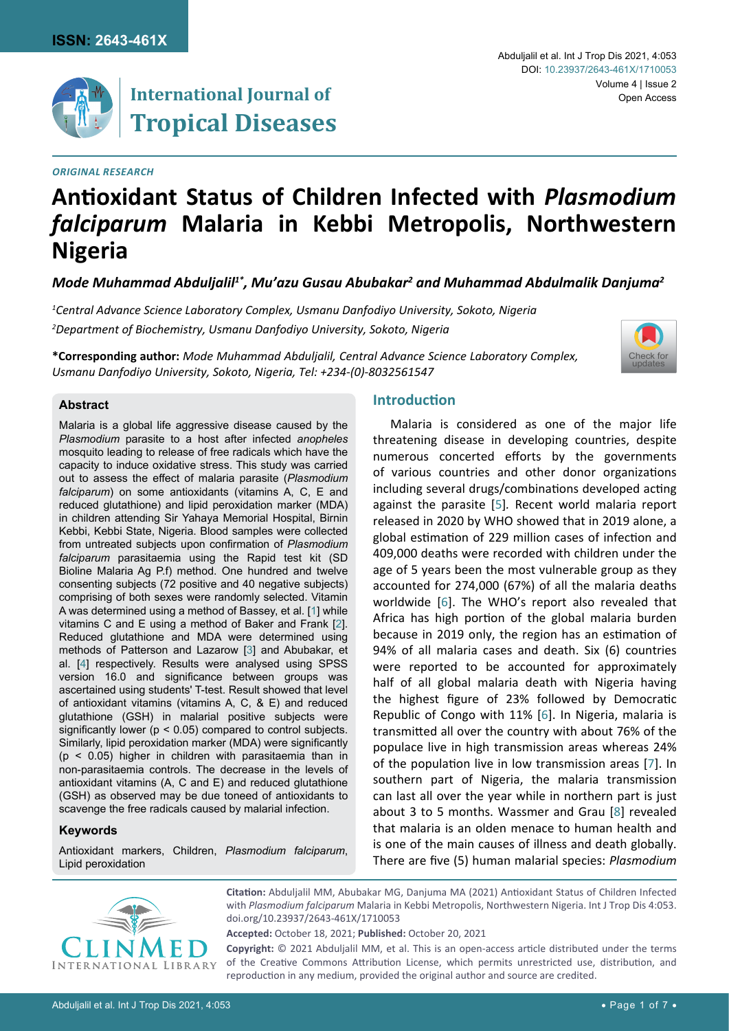

# **Antioxidant Status of Children Infected with** *Plasmodium falciparum* **Malaria in Kebbi Metropolis, Northwestern Nigeria**

*Mode Muhammad Abduljalil1\*, Mu'azu Gusau Abubakar2 and Muhammad Abdulmalik Danjuma2*

*1 Central Advance Science Laboratory Complex, Usmanu Danfodiyo University, Sokoto, Nigeria 2 Department of Biochemistry, Usmanu Danfodiyo University, Sokoto, Nigeria*

**\*Corresponding author:** *Mode Muhammad Abduljalil, Central Advance Science Laboratory Complex, Usmanu Danfodiyo University, Sokoto, Nigeria, Tel: +234-(0)-8032561547*



#### **Abstract**

Malaria is a global life aggressive disease caused by the *Plasmodium* parasite to a host after infected *anopheles*  mosquito leading to release of free radicals which have the capacity to induce oxidative stress. This study was carried out to assess the effect of malaria parasite (*Plasmodium falciparum*) on some antioxidants (vitamins A, C, E and reduced glutathione) and lipid peroxidation marker (MDA) in children attending Sir Yahaya Memorial Hospital, Birnin Kebbi, Kebbi State, Nigeria. Blood samples were collected from untreated subjects upon confirmation of *Plasmodium falciparum* parasitaemia using the Rapid test kit (SD Bioline Malaria Ag P.f) method. One hundred and twelve consenting subjects (72 positive and 40 negative subjects) comprising of both sexes were randomly selected. Vitamin A was determined using a method of Bassey, et al. [[1\]](#page-4-0) while vitamins C and E using a method of Baker and Frank [[2](#page-4-1)]. Reduced glutathione and MDA were determined using methods of Patterson and Lazarow [[3](#page-4-2)] and Abubakar, et al. [[4](#page-4-3)] respectively. Results were analysed using SPSS version 16.0 and significance between groups was ascertained using students' T-test. Result showed that level of antioxidant vitamins (vitamins A, C, & E) and reduced glutathione (GSH) in malarial positive subjects were significantly lower  $(p < 0.05)$  compared to control subjects. Similarly, lipid peroxidation marker (MDA) were significantly (p < 0.05) higher in children with parasitaemia than in non-parasitaemia controls. The decrease in the levels of antioxidant vitamins (A, C and E) and reduced glutathione (GSH) as observed may be due toneed of antioxidants to scavenge the free radicals caused by malarial infection.

#### **Keywords**

Antioxidant markers, Children, *Plasmodium falciparum*, Lipid peroxidation

# **Introduction**

Malaria is considered as one of the major life threatening disease in developing countries, despite numerous concerted efforts by the governments of various countries and other donor organizations including several drugs/combinations developed acting against the parasite [[5](#page-4-4)]*.* Recent world malaria report released in 2020 by WHO showed that in 2019 alone, a global estimation of 229 million cases of infection and 409,000 deaths were recorded with children under the age of 5 years been the most vulnerable group as they accounted for 274,000 (67%) of all the malaria deaths worldwide [\[6](#page-5-0)]. The WHO's report also revealed that Africa has high portion of the global malaria burden because in 2019 only, the region has an estimation of 94% of all malaria cases and death. Six (6) countries were reported to be accounted for approximately half of all global malaria death with Nigeria having the highest figure of 23% followed by Democratic Republic of Congo with 11% [\[6\]](#page-5-0). In Nigeria, malaria is transmitted all over the country with about 76% of the populace live in high transmission areas whereas 24% of the population live in low transmission areas [\[7\]](#page-5-1). In southern part of Nigeria, the malaria transmission can last all over the year while in northern part is just about 3 to 5 months. Wassmer and Grau [\[8](#page-5-2)] revealed that malaria is an olden menace to human health and is one of the main causes of illness and death globally. There are five (5) human malarial species: *Plasmodium* 



**Citation:** Abduljalil MM, Abubakar MG, Danjuma MA (2021) Antioxidant Status of Children Infected with *Plasmodium falciparum* Malaria in Kebbi Metropolis, Northwestern Nigeria. Int J Trop Dis 4:053. [doi.org/10.23937/2643-461X/1710053](https://doi.org/10.23937/2643-461X/1710053)

**Accepted:** October 18, 2021; **Published:** October 20, 2021

**Copyright:** © 2021 Abduljalil MM, et al. This is an open-access article distributed under the terms of the Creative Commons Attribution License, which permits unrestricted use, distribution, and reproduction in any medium, provided the original author and source are credited.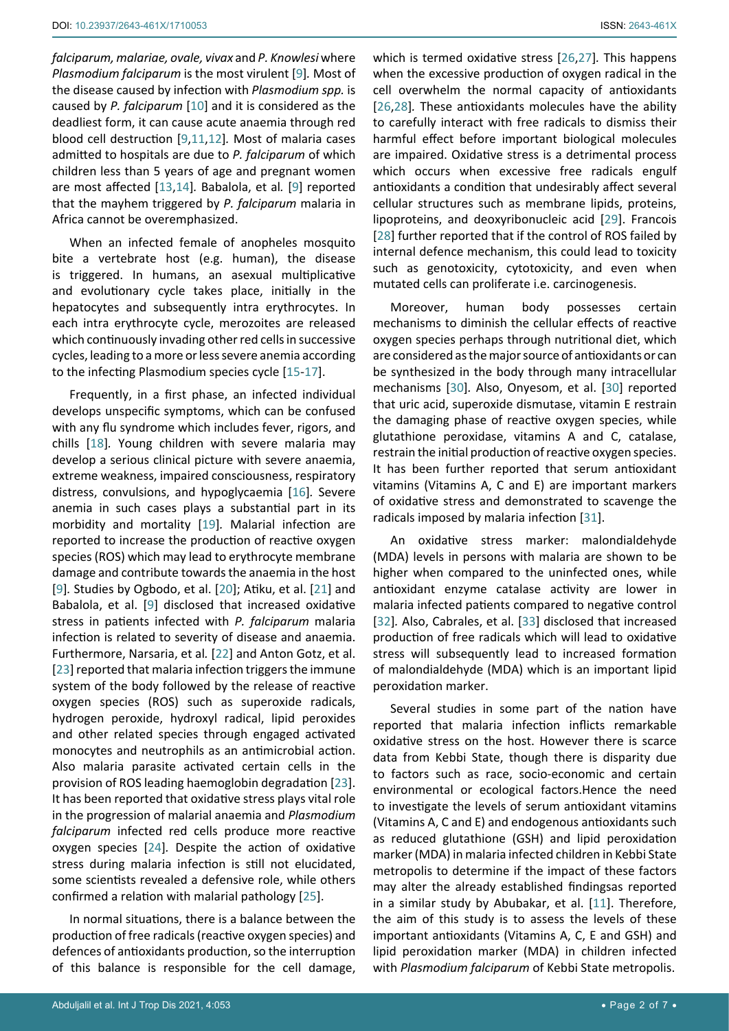*falciparum, malariae, ovale, vivax* and *P. Knowlesi* where *Plasmodium falciparum* is the most virulent [[9](#page-5-12)]*.* Most of the disease caused by infection with *Plasmodium spp.* is caused by *P. falciparum* [[10\]](#page-5-13) and it is considered as the deadliest form, it can cause acute anaemia through red blood cell destruction [[9](#page-5-12)[,11](#page-5-11)[,12](#page-5-14)]*.* Most of malaria cases admitted to hospitals are due to *P. falciparum* of which children less than 5 years of age and pregnant women are most affected [[13](#page-5-15),[14](#page-5-16)]*.* Babalola, et al*.* [[9](#page-5-12)] reported that the mayhem triggered by *P. falciparum* malaria in Africa cannot be overemphasized.

When an infected female of anopheles mosquito bite a vertebrate host (e.g. human), the disease is triggered. In humans, an asexual multiplicative and evolutionary cycle takes place, initially in the hepatocytes and subsequently intra erythrocytes. In each intra erythrocyte cycle, merozoites are released which continuously invading other red cells in successive cycles, leading to a more or less severe anemia according to the infecting Plasmodium species cycle [\[15](#page-5-17)-[17\]](#page-5-18).

Frequently, in a first phase, an infected individual develops unspecific symptoms, which can be confused with any flu syndrome which includes fever, rigors, and chills [[18](#page-5-19)]*.* Young children with severe malaria may develop a serious clinical picture with severe anaemia, extreme weakness, impaired consciousness, respiratory distress, convulsions, and hypoglycaemia [[16](#page-5-20)]*.* Severe anemia in such cases plays a substantial part in its morbidity and mortality [\[19](#page-5-21)]*.* Malarial infection are reported to increase the production of reactive oxygen species (ROS) which may lead to erythrocyte membrane damage and contribute towards the anaemia in the host [[9](#page-5-12)]*.* Studies by Ogbodo, et al. [[20](#page-5-22)]; Atiku, et al. [[21\]](#page-5-23) and Babalola, et al. [\[9](#page-5-12)] disclosed that increased oxidative stress in patients infected with *P. falciparum* malaria infection is related to severity of disease and anaemia. Furthermore, Narsaria, et al*.* [[22](#page-5-24)] and Anton Gotz, et al. [[23](#page-5-25)] reported that malaria infection triggers the immune system of the body followed by the release of reactive oxygen species (ROS) such as superoxide radicals, hydrogen peroxide, hydroxyl radical, lipid peroxides and other related species through engaged activated monocytes and neutrophils as an antimicrobial action. Also malaria parasite activated certain cells in the provision of ROS leading haemoglobin degradation [\[23](#page-5-25)]. It has been reported that oxidative stress plays vital role in the progression of malarial anaemia and *Plasmodium falciparum* infected red cells produce more reactive oxygen species [[24](#page-5-26)]*.* Despite the action of oxidative stress during malaria infection is still not elucidated, some scientists revealed a defensive role, while others confirmed a relation with malarial pathology [\[25\]](#page-5-27).

In normal situations, there is a balance between the production of free radicals (reactive oxygen species) and defences of antioxidants production, so the interruption of this balance is responsible for the cell damage, which is termed oxidative stress [\[26](#page-5-3),[27](#page-5-4)]*.* This happens when the excessive production of oxygen radical in the cell overwhelm the normal capacity of antioxidants [\[26](#page-5-3),[28](#page-5-5)]*.* These antioxidants molecules have the ability to carefully interact with free radicals to dismiss their harmful effect before important biological molecules are impaired. Oxidative stress is a detrimental process which occurs when excessive free radicals engulf antioxidants a condition that undesirably affect several cellular structures such as membrane lipids, proteins, lipoproteins, and deoxyribonucleic acid [[29\]](#page-5-6). Francois [\[28](#page-5-5)] further reported that if the control of ROS failed by internal defence mechanism, this could lead to toxicity such as genotoxicity, cytotoxicity, and even when mutated cells can proliferate i.e. carcinogenesis.

Moreover, human body possesses certain mechanisms to diminish the cellular effects of reactive oxygen species perhaps through nutritional diet, which are considered as the major source of antioxidants or can be synthesized in the body through many intracellular mechanisms [[30](#page-5-7)]*.* Also, Onyesom, et al. [[30](#page-5-7)] reported that uric acid, superoxide dismutase, vitamin E restrain the damaging phase of reactive oxygen species, while glutathione peroxidase, vitamins A and C, catalase, restrain the initial production of reactive oxygen species. It has been further reported that serum antioxidant vitamins (Vitamins A, C and E) are important markers of oxidative stress and demonstrated to scavenge the radicals imposed by malaria infection [[31](#page-5-8)].

An oxidative stress marker: malondialdehyde (MDA) levels in persons with malaria are shown to be higher when compared to the uninfected ones, while antioxidant enzyme catalase activity are lower in malaria infected patients compared to negative control [\[32](#page-5-9)]*.* Also, Cabrales, et al. [\[33](#page-5-10)] disclosed that increased production of free radicals which will lead to oxidative stress will subsequently lead to increased formation of malondialdehyde (MDA) which is an important lipid peroxidation marker.

Several studies in some part of the nation have reported that malaria infection inflicts remarkable oxidative stress on the host. However there is scarce data from Kebbi State, though there is disparity due to factors such as race, socio-economic and certain environmental or ecological factors.Hence the need to investigate the levels of serum antioxidant vitamins (Vitamins A, C and E) and endogenous antioxidants such as reduced glutathione (GSH) and lipid peroxidation marker (MDA) in malaria infected children in Kebbi State metropolis to determine if the impact of these factors may alter the already established findingsas reported in a similar study by Abubakar, et al. [[11](#page-5-11)]. Therefore, the aim of this study is to assess the levels of these important antioxidants (Vitamins A, C, E and GSH) and lipid peroxidation marker (MDA) in children infected with *Plasmodium falciparum* of Kebbi State metropolis.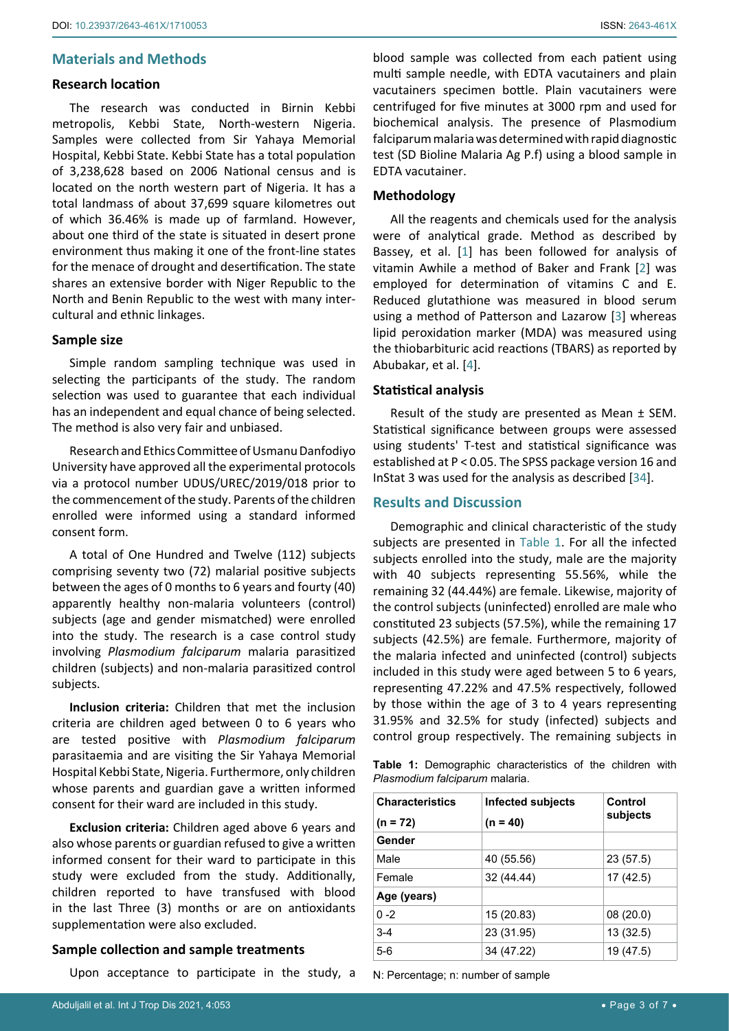## **Materials and Methods**

#### **Research location**

The research was conducted in Birnin Kebbi metropolis, Kebbi State, North-western Nigeria. Samples were collected from Sir Yahaya Memorial Hospital, Kebbi State. Kebbi State has a total population of 3,238,628 based on 2006 National census and is located on the north western part of Nigeria. It has a total landmass of about 37,699 square kilometres out of which 36.46% is made up of farmland. However, about one third of the state is situated in desert prone environment thus making it one of the front-line states for the menace of drought and desertification. The state shares an extensive border with Niger Republic to the North and Benin Republic to the west with many intercultural and ethnic linkages.

#### **Sample size**

Simple random sampling technique was used in selecting the participants of the study. The random selection was used to guarantee that each individual has an independent and equal chance of being selected. The method is also very fair and unbiased.

Research and Ethics Committee of Usmanu Danfodiyo University have approved all the experimental protocols via a protocol number UDUS/UREC/2019/018 prior to the commencement of the study. Parents of the children enrolled were informed using a standard informed consent form.

A total of One Hundred and Twelve (112) subjects comprising seventy two (72) malarial positive subjects between the ages of 0 months to 6 years and fourty (40) apparently healthy non-malaria volunteers (control) subjects (age and gender mismatched) were enrolled into the study. The research is a case control study involving *Plasmodium falciparum* malaria parasitized children (subjects) and non-malaria parasitized control subjects.

**Inclusion criteria:** Children that met the inclusion criteria are children aged between 0 to 6 years who are tested positive with *Plasmodium falciparum*  parasitaemia and are visiting the Sir Yahaya Memorial Hospital Kebbi State, Nigeria. Furthermore, only children whose parents and guardian gave a written informed consent for their ward are included in this study.

**Exclusion criteria:** Children aged above 6 years and also whose parents or guardian refused to give a written informed consent for their ward to participate in this study were excluded from the study. Additionally, children reported to have transfused with blood in the last Three (3) months or are on antioxidants supplementation were also excluded.

## **Sample collection and sample treatments**

Upon acceptance to participate in the study, a

blood sample was collected from each patient using multi sample needle, with EDTA vacutainers and plain vacutainers specimen bottle. Plain vacutainers were centrifuged for five minutes at 3000 rpm and used for biochemical analysis. The presence of Plasmodium falciparum malaria was determined with rapid diagnostic test (SD Bioline Malaria Ag P.f) using a blood sample in EDTA vacutainer.

#### **Methodology**

All the reagents and chemicals used for the analysis were of analytical grade. Method as described by Bassey, et al. [[1\]](#page-4-0) has been followed for analysis of vitamin Awhile a method of Baker and Frank [[2\]](#page-4-1) was employed for determination of vitamins C and E. Reduced glutathione was measured in blood serum using a method of Patterson and Lazarow [\[3](#page-4-2)] whereas lipid peroxidation marker (MDA) was measured using the thiobarbituric acid reactions (TBARS) as reported by Abubakar, et al. [\[4\]](#page-4-3).

#### **Statistical analysis**

Result of the study are presented as Mean ± SEM. Statistical significance between groups were assessed using students' T-test and statistical significance was established at P < 0.05. The SPSS package version 16 and InStat 3 was used for the analysis as described [\[34](#page-5-28)].

## **Results and Discussion**

Demographic and clinical characteristic of the study subjects are presented in [Table 1](#page-2-0). For all the infected subjects enrolled into the study, male are the majority with 40 subjects representing 55.56%, while the remaining 32 (44.44%) are female. Likewise, majority of the control subjects (uninfected) enrolled are male who constituted 23 subjects (57.5%), while the remaining 17 subjects (42.5%) are female. Furthermore, majority of the malaria infected and uninfected (control) subjects included in this study were aged between 5 to 6 years, representing 47.22% and 47.5% respectively, followed by those within the age of 3 to 4 years representing 31.95% and 32.5% for study (infected) subjects and control group respectively. The remaining subjects in

<span id="page-2-0"></span>**Table 1:** Demographic characteristics of the children with *Plasmodium falciparum* malaria.

| <b>Characteristics</b> | <b>Infected subjects</b> | Control   |
|------------------------|--------------------------|-----------|
| $(n = 72)$             | $(n = 40)$               | subjects  |
| Gender                 |                          |           |
| Male                   | 40 (55.56)               | 23 (57.5) |
| Female                 | 32 (44.44)               | 17(42.5)  |
| Age (years)            |                          |           |
| $0 - 2$                | 15 (20.83)               | 08(20.0)  |
| $3-4$                  | 23 (31.95)               | 13 (32.5) |
| $5-6$                  | 34 (47.22)               | 19 (47.5) |

N: Percentage; n: number of sample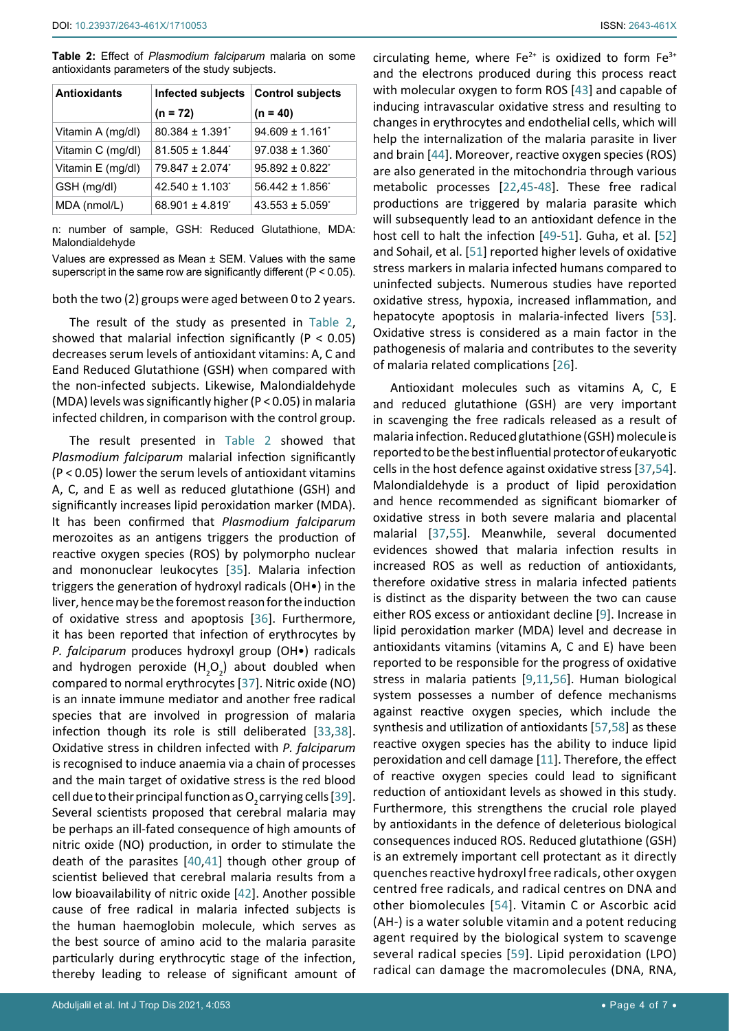<span id="page-3-0"></span>**Table 2:** Effect of *Plasmodium falciparum* malaria on some antioxidants parameters of the study subjects.

| <b>Antioxidants</b> | Infected subjects   Control subjects |                          |
|---------------------|--------------------------------------|--------------------------|
|                     | $(n = 72)$                           | $(n = 40)$               |
| Vitamin A (mg/dl)   | $80.384 \pm 1.391$                   | $94.609 \pm 1.161$       |
| Vitamin C (mg/dl)   | $81.505 + 1.844$ <sup>*</sup>        | $97.038 + 1.360^{\circ}$ |
| Vitamin E (mg/dl)   | $79.847 \pm 2.074$                   | $95.892 \pm 0.822$       |
| GSH (mg/dl)         | $42.540 \pm 1.103$                   | $56.442 \pm 1.856$       |
| MDA (nmol/L)        | $68.901 \pm 4.819$                   | $43.553 \pm 5.059$       |

n: number of sample, GSH: Reduced Glutathione, MDA: Malondialdehyde

Values are expressed as Mean ± SEM. Values with the same superscript in the same row are significantly different (P < 0.05).

both the two (2) groups were aged between 0 to 2 years.

The result of the study as presented in [Table 2](#page-3-0), showed that malarial infection significantly ( $P < 0.05$ ) decreases serum levels of antioxidant vitamins: A, C and Eand Reduced Glutathione (GSH) when compared with the non-infected subjects. Likewise, Malondialdehyde (MDA) levels was significantly higher (P < 0.05) in malaria infected children, in comparison with the control group.

The result presented in [Table 2](#page-3-0) showed that *Plasmodium falciparum* malarial infection significantly (P < 0.05) lower the serum levels of antioxidant vitamins A, C, and E as well as reduced glutathione (GSH) and significantly increases lipid peroxidation marker (MDA). It has been confirmed that *Plasmodium falciparum* merozoites as an antigens triggers the production of reactive oxygen species (ROS) by polymorpho nuclear and mononuclear leukocytes [[35\]](#page-5-30). Malaria infection triggers the generation of hydroxyl radicals (OH•) in the liver, hence may be the foremost reason for the induction of oxidative stress and apoptosis [[36](#page-5-31)]. Furthermore, it has been reported that infection of erythrocytes by *P. falciparum* produces hydroxyl group (OH•) radicals and hydrogen peroxide  $(H_2O_2)$  about doubled when compared to normal erythrocytes [\[37\]](#page-5-29). Nitric oxide (NO) is an innate immune mediator and another free radical species that are involved in progression of malaria infection though its role is still deliberated [\[33](#page-5-10),[38](#page-5-32)]. Oxidative stress in children infected with *P. falciparum*  is recognised to induce anaemia via a chain of processes and the main target of oxidative stress is the red blood cell due to their principal function as O<sub>2</sub> carrying cells [\[39](#page-5-33)]. Several scientists proposed that cerebral malaria may be perhaps an ill-fated consequence of high amounts of nitric oxide (NO) production, in order to stimulate the death of the parasites [\[40](#page-5-34),[41](#page-5-35)] though other group of scientist believed that cerebral malaria results from a low bioavailability of nitric oxide [\[42\]](#page-5-36). Another possible cause of free radical in malaria infected subjects is the human haemoglobin molecule, which serves as the best source of amino acid to the malaria parasite particularly during erythrocytic stage of the infection, thereby leading to release of significant amount of

circulating heme, where  $Fe^{2+}$  is oxidized to form  $Fe^{3+}$ and the electrons produced during this process react with molecular oxygen to form ROS [[43](#page-6-0)] and capable of inducing intravascular oxidative stress and resulting to changes in erythrocytes and endothelial cells, which will help the internalization of the malaria parasite in liver and brain [\[44](#page-6-1)]. Moreover, reactive oxygen species (ROS) are also generated in the mitochondria through various metabolic processes [[22](#page-5-24),[45](#page-6-2)[-48\]](#page-6-3). These free radical productions are triggered by malaria parasite which will subsequently lead to an antioxidant defence in the host cell to halt the infection [[49](#page-6-4)[-51](#page-6-5)]. Guha, et al. [\[52](#page-6-6)] and Sohail, et al. [\[51](#page-6-5)] reported higher levels of oxidative stress markers in malaria infected humans compared to uninfected subjects. Numerous studies have reported oxidative stress, hypoxia, increased inflammation, and hepatocyte apoptosis in malaria-infected livers [\[53\]](#page-6-7). Oxidative stress is considered as a main factor in the pathogenesis of malaria and contributes to the severity of malaria related complications [[26\]](#page-5-3).

Antioxidant molecules such as vitamins A, C, E and reduced glutathione (GSH) are very important in scavenging the free radicals released as a result of malaria infection. Reduced glutathione (GSH) molecule is reported to be the best influential protector of eukaryotic cells in the host defence against oxidative stress [[37](#page-5-29),[54\]](#page-6-8). Malondialdehyde is a product of lipid peroxidation and hence recommended as significant biomarker of oxidative stress in both severe malaria and placental malarial [\[37](#page-5-29),[55](#page-6-9)]. Meanwhile, several documented evidences showed that malaria infection results in increased ROS as well as reduction of antioxidants, therefore oxidative stress in malaria infected patients is distinct as the disparity between the two can cause either ROS excess or antioxidant decline [\[9\]](#page-5-12). Increase in lipid peroxidation marker (MDA) level and decrease in antioxidants vitamins (vitamins A, C and E) have been reported to be responsible for the progress of oxidative stress in malaria patients [[9](#page-5-12),[11](#page-5-11),[56\]](#page-6-10). Human biological system possesses a number of defence mechanisms against reactive oxygen species, which include the synthesis and utilization of antioxidants [[57](#page-6-11),[58](#page-6-12)] as these reactive oxygen species has the ability to induce lipid peroxidation and cell damage [[11](#page-5-11)]. Therefore, the effect of reactive oxygen species could lead to significant reduction of antioxidant levels as showed in this study. Furthermore, this strengthens the crucial role played by antioxidants in the defence of deleterious biological consequences induced ROS. Reduced glutathione (GSH) is an extremely important cell protectant as it directly quenches reactive hydroxyl free radicals, other oxygen centred free radicals, and radical centres on DNA and other biomolecules [[54](#page-6-8)]. Vitamin C or Ascorbic acid (AH-) is a water soluble vitamin and a potent reducing agent required by the biological system to scavenge several radical species [\[59\]](#page-6-13). Lipid peroxidation (LPO) radical can damage the macromolecules (DNA, RNA,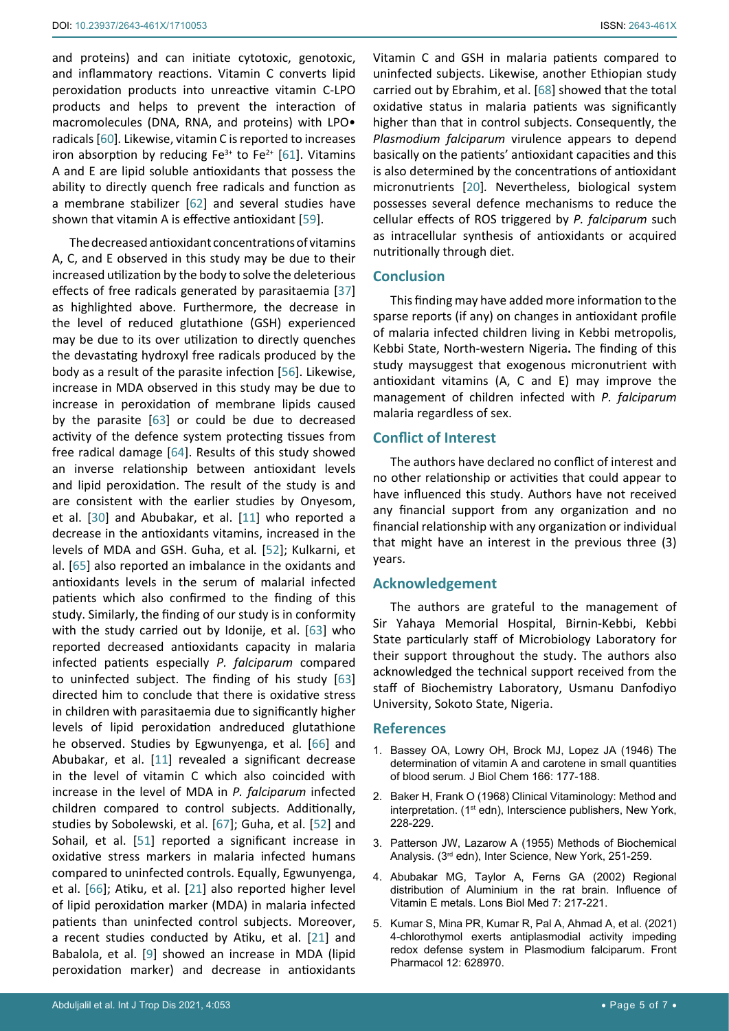and proteins) and can initiate cytotoxic, genotoxic, and inflammatory reactions. Vitamin C converts lipid peroxidation products into unreactive vitamin C-LPO products and helps to prevent the interaction of macromolecules (DNA, RNA, and proteins) with LPO• radicals [\[60](#page-6-15)]*.* Likewise, vitamin C is reported to increases iron absorption by reducing  $Fe^{3+}$  to  $Fe^{2+}$  [[61\]](#page-6-16). Vitamins A and E are lipid soluble antioxidants that possess the ability to directly quench free radicals and function as a membrane stabilizer [[62](#page-6-17)] and several studies have shown that vitamin A is effective antioxidant [\[59](#page-6-13)].

The decreased antioxidant concentrations of vitamins A, C, and E observed in this study may be due to their increased utilization by the body to solve the deleterious effects of free radicals generated by parasitaemia [\[37](#page-5-29)] as highlighted above. Furthermore, the decrease in the level of reduced glutathione (GSH) experienced may be due to its over utilization to directly quenches the devastating hydroxyl free radicals produced by the body as a result of the parasite infection [\[56](#page-6-10)]. Likewise, increase in MDA observed in this study may be due to increase in peroxidation of membrane lipids caused by the parasite [\[63](#page-6-18)] or could be due to decreased activity of the defence system protecting tissues from free radical damage [[64\]](#page-6-19). Results of this study showed an inverse relationship between antioxidant levels and lipid peroxidation. The result of the study is and are consistent with the earlier studies by Onyesom, et al. [[30](#page-5-7)] and Abubakar, et al. [[11](#page-5-11)] who reported a decrease in the antioxidants vitamins, increased in the levels of MDA and GSH. Guha, et al*.* [\[52](#page-6-6)]; Kulkarni, et al. [\[65](#page-6-20)] also reported an imbalance in the oxidants and antioxidants levels in the serum of malarial infected patients which also confirmed to the finding of this study. Similarly, the finding of our study is in conformity with the study carried out by Idonije, et al. [[63](#page-6-18)] who reported decreased antioxidants capacity in malaria infected patients especially *P. falciparum* compared to uninfected subject. The finding of his study [\[63](#page-6-18)] directed him to conclude that there is oxidative stress in children with parasitaemia due to significantly higher levels of lipid peroxidation andreduced glutathione he observed. Studies by Egwunyenga, et al*.* [[66](#page-6-21)] and Abubakar, et al. [[11](#page-5-11)] revealed a significant decrease in the level of vitamin C which also coincided with increase in the level of MDA in *P. falciparum* infected children compared to control subjects. Additionally, studies by Sobolewski, et al. [[67\]](#page-6-22); Guha, et al. [\[52](#page-6-6)] and Sohail, et al. [\[51](#page-6-5)] reported a significant increase in oxidative stress markers in malaria infected humans compared to uninfected controls. Equally, Egwunyenga, et al. [[66](#page-6-21)]; Atiku, et al. [[21](#page-5-23)] also reported higher level of lipid peroxidation marker (MDA) in malaria infected patients than uninfected control subjects. Moreover, a recent studies conducted by Atiku, et al. [[21\]](#page-5-23) and Babalola, et al. [[9](#page-5-12)] showed an increase in MDA (lipid peroxidation marker) and decrease in antioxidants Vitamin C and GSH in malaria patients compared to uninfected subjects. Likewise, another Ethiopian study carried out by Ebrahim, et al. [\[68](#page-6-14)] showed that the total oxidative status in malaria patients was significantly higher than that in control subjects. Consequently, the *Plasmodium falciparum* virulence appears to depend basically on the patients' antioxidant capacities and this is also determined by the concentrations of antioxidant micronutrients [[20](#page-5-22)]*.* Nevertheless, biological system possesses several defence mechanisms to reduce the cellular effects of ROS triggered by *P. falciparum* such as intracellular synthesis of antioxidants or acquired nutritionally through diet.

#### **Conclusion**

This finding may have added more information to the sparse reports (if any) on changes in antioxidant profile of malaria infected children living in Kebbi metropolis, Kebbi State, North-western Nigeria**.** The finding of this study maysuggest that exogenous micronutrient with antioxidant vitamins (A, C and E) may improve the management of children infected with *P. falciparum*  malaria regardless of sex.

#### **Conflict of Interest**

The authors have declared no conflict of interest and no other relationship or activities that could appear to have influenced this study. Authors have not received any financial support from any organization and no financial relationship with any organization or individual that might have an interest in the previous three (3) years.

#### **Acknowledgement**

The authors are grateful to the management of Sir Yahaya Memorial Hospital, Birnin-Kebbi, Kebbi State particularly staff of Microbiology Laboratory for their support throughout the study. The authors also acknowledged the technical support received from the staff of Biochemistry Laboratory, Usmanu Danfodiyo University, Sokoto State, Nigeria.

## **References**

- <span id="page-4-0"></span>1. [Bassey OA, Lowry OH, Brock MJ, Lopez JA \(1946\) The](https://pubmed.ncbi.nlm.nih.gov/20273686/)  [determination of vitamin A and carotene in small quantities](https://pubmed.ncbi.nlm.nih.gov/20273686/)  [of blood serum. J Biol Chem 166:](https://pubmed.ncbi.nlm.nih.gov/20273686/) 177-188.
- <span id="page-4-1"></span>2. [Baker H, Frank O \(1968\) Clinical Vitaminology: Method and](https://books.google.co.in/books/about/Clinical_Vitaminology.html?id=B_hqAAAAMAAJ&redir_esc=y)  interpretation. (1<sup>st</sup> edn), Interscience publishers, New York, [228-229.](https://books.google.co.in/books/about/Clinical_Vitaminology.html?id=B_hqAAAAMAAJ&redir_esc=y)
- <span id="page-4-2"></span>3. Patterson JW, Lazarow A (1955) Methods of Biochemical Analysis. (3rd edn), Inter Science, New York, 251-259.
- <span id="page-4-3"></span>4. Abubakar MG, Taylor A, Ferns GA (2002) Regional distribution of Aluminium in the rat brain. Influence of Vitamin E metals. Lons Biol Med 7: 217-221.
- <span id="page-4-4"></span>5. [Kumar S, Mina PR, Kumar R, Pal A, Ahmad A, et al. \(2021\)](https://pubmed.ncbi.nlm.nih.gov/33776772/)  [4-chlorothymol exerts antiplasmodial activity impeding](https://pubmed.ncbi.nlm.nih.gov/33776772/)  [redox defense system in Plasmodium falciparum. Front](https://pubmed.ncbi.nlm.nih.gov/33776772/)  [Pharmacol 12: 628970.](https://pubmed.ncbi.nlm.nih.gov/33776772/)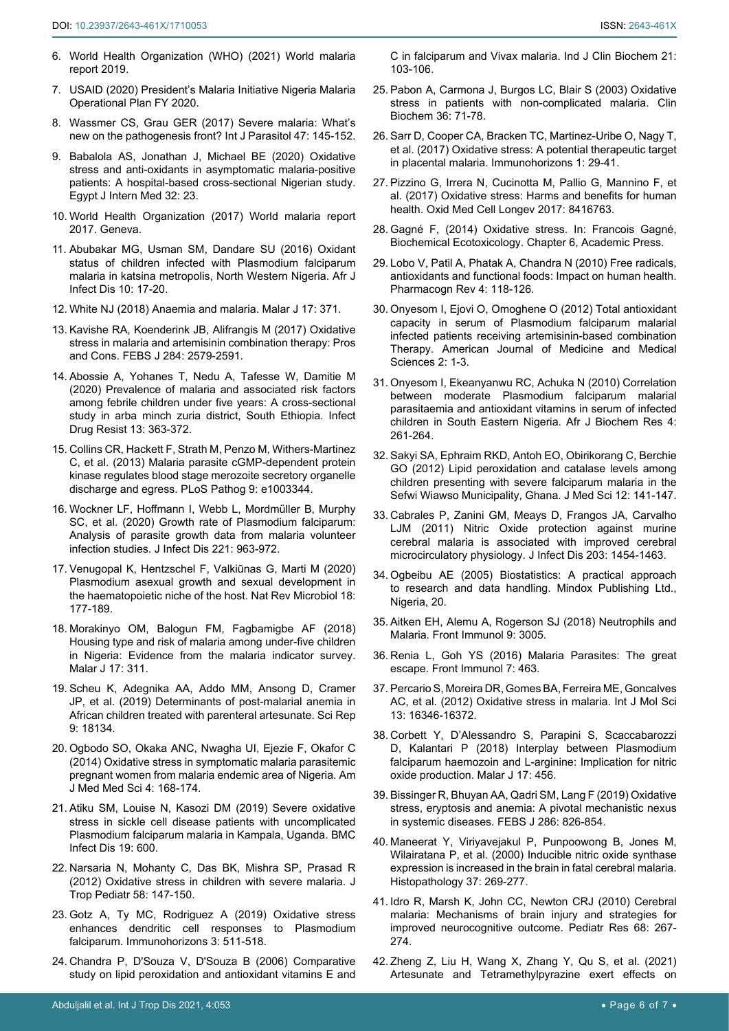- <span id="page-5-0"></span>6. [World Health Organization \(WHO\) \(2021\) World malaria](https://www.who.int/publications/i/item/9789241565721)  [report 2019.](https://www.who.int/publications/i/item/9789241565721)
- <span id="page-5-1"></span>7. USAID (2020) President's Malaria Initiative Nigeria Malaria Operational Plan FY 2020.
- <span id="page-5-2"></span>8. [Wassmer CS, Grau GER \(2017\) Severe malaria: What's](https://pubmed.ncbi.nlm.nih.gov/27670365/)  [new on the pathogenesis front? Int J Parasitol 47: 145-152.](https://pubmed.ncbi.nlm.nih.gov/27670365/)
- <span id="page-5-12"></span>9. [Babalola AS, Jonathan J, Michael BE \(2020\) Oxidative](https://ejim.springeropen.com/articles/10.1186/s43162-020-00024-x)  [stress and anti-oxidants in asymptomatic malaria-positive](https://ejim.springeropen.com/articles/10.1186/s43162-020-00024-x)  [patients: A hospital-based cross-sectional Nigerian study.](https://ejim.springeropen.com/articles/10.1186/s43162-020-00024-x)  [Egypt J Intern Med 32: 23.](https://ejim.springeropen.com/articles/10.1186/s43162-020-00024-x)
- <span id="page-5-13"></span>10. [World Health Organization \(2017\) World malaria report](https://www.who.int/publications/i/item/9789241565523)  [2017. Geneva.](https://www.who.int/publications/i/item/9789241565523)
- <span id="page-5-11"></span>11. [Abubakar MG, Usman SM, Dandare SU \(2016\) Oxidant](https://journals.athmsi.org/index.php/AJID/article/view/3197/2254)  [status of children infected with Plasmodium falciparum](https://journals.athmsi.org/index.php/AJID/article/view/3197/2254)  [malaria in katsina metropolis, North Western Nigeria. Afr J](https://journals.athmsi.org/index.php/AJID/article/view/3197/2254)  [Infect Dis 10: 17-20.](https://journals.athmsi.org/index.php/AJID/article/view/3197/2254)
- <span id="page-5-14"></span>12. [White NJ \(2018\) Anaemia and malaria. Malar J 17: 371.](https://pubmed.ncbi.nlm.nih.gov/30340592/)
- <span id="page-5-15"></span>13. [Kavishe RA, Koenderink JB, Alifrangis M \(2017\) Oxidative](https://pubmed.ncbi.nlm.nih.gov/28467668/)  [stress in malaria and artemisinin combination therapy: Pros](https://pubmed.ncbi.nlm.nih.gov/28467668/)  [and Cons. FEBS J 284: 2579-2591.](https://pubmed.ncbi.nlm.nih.gov/28467668/)
- <span id="page-5-16"></span>14. [Abossie A, Yohanes T, Nedu A, Tafesse W, Damitie M](https://pdfs.semanticscholar.org/56b0/31176fac3c82f506516d99a4e8480eb7b988.pdf?_ga=2.256387659.1906138424.1633784749-2053509408.1631094688)  [\(2020\) Prevalence of malaria and associated risk factors](https://pdfs.semanticscholar.org/56b0/31176fac3c82f506516d99a4e8480eb7b988.pdf?_ga=2.256387659.1906138424.1633784749-2053509408.1631094688)  [among febrile children under five years: A cross-sectional](https://pdfs.semanticscholar.org/56b0/31176fac3c82f506516d99a4e8480eb7b988.pdf?_ga=2.256387659.1906138424.1633784749-2053509408.1631094688)  [study in arba minch zuria district, South Ethiopia. Infect](https://pdfs.semanticscholar.org/56b0/31176fac3c82f506516d99a4e8480eb7b988.pdf?_ga=2.256387659.1906138424.1633784749-2053509408.1631094688)  [Drug Resist 13: 363-372.](https://pdfs.semanticscholar.org/56b0/31176fac3c82f506516d99a4e8480eb7b988.pdf?_ga=2.256387659.1906138424.1633784749-2053509408.1631094688)
- <span id="page-5-17"></span>15. [Collins CR, Hackett F, Strath M, Penzo M, Withers-Martinez](https://pubmed.ncbi.nlm.nih.gov/23675297/)  [C, et al. \(2013\) Malaria parasite cGMP-dependent protein](https://pubmed.ncbi.nlm.nih.gov/23675297/)  [kinase regulates blood stage merozoite secretory organelle](https://pubmed.ncbi.nlm.nih.gov/23675297/)  [discharge and egress. PLoS Pathog 9: e1003344.](https://pubmed.ncbi.nlm.nih.gov/23675297/)
- <span id="page-5-20"></span>16. [Wockner LF, Hoffmann I, Webb L, Mordmüller B, Murphy](https://pubmed.ncbi.nlm.nih.gov/31679015/)  [SC, et al. \(2020\) Growth rate of Plasmodium falciparum:](https://pubmed.ncbi.nlm.nih.gov/31679015/)  [Analysis of parasite growth data from malaria volunteer](https://pubmed.ncbi.nlm.nih.gov/31679015/)  [infection studies. J Infect Dis 221: 963-972.](https://pubmed.ncbi.nlm.nih.gov/31679015/)
- <span id="page-5-18"></span>17. [Venugopal K, Hentzschel F, Valkiūnas G, Marti M \(2020\)](https://pubmed.ncbi.nlm.nih.gov/31919479/)  [Plasmodium asexual growth and sexual development in](https://pubmed.ncbi.nlm.nih.gov/31919479/)  [the haematopoietic niche of the host. Nat Rev Microbiol 18:](https://pubmed.ncbi.nlm.nih.gov/31919479/)  [177-189.](https://pubmed.ncbi.nlm.nih.gov/31919479/)
- <span id="page-5-19"></span>18. [Morakinyo OM, Balogun FM, Fagbamigbe AF \(2018\)](https://www.ncbi.nlm.nih.gov/pmc/articles/PMC6114872/)  [Housing type and risk of malaria among under-five children](https://www.ncbi.nlm.nih.gov/pmc/articles/PMC6114872/)  [in Nigeria: Evidence from the malaria indicator survey.](https://www.ncbi.nlm.nih.gov/pmc/articles/PMC6114872/)  [Malar J 17: 311.](https://www.ncbi.nlm.nih.gov/pmc/articles/PMC6114872/)
- <span id="page-5-21"></span>19. [Scheu K, Adegnika AA, Addo MM, Ansong D, Cramer](https://www.nature.com/articles/s41598-019-54639-4)  [JP, et al. \(2019\) Determinants of post-malarial anemia in](https://www.nature.com/articles/s41598-019-54639-4)  [African children treated with parenteral artesunate. Sci Rep](https://www.nature.com/articles/s41598-019-54639-4)  [9: 18134.](https://www.nature.com/articles/s41598-019-54639-4)
- <span id="page-5-22"></span>20. [Ogbodo SO, Okaka ANC, Nwagha UI, Ejezie F, Okafor C](https://www.semanticscholar.org/paper/Oxidative-Stress-in-Symptomatic-Malaria-Parasitemic-Ogbodo-Okaka/f3a8188dbd94207acd3f7cd273ffe9c590ef19d3)  [\(2014\) Oxidative stress in symptomatic malaria parasitemic](https://www.semanticscholar.org/paper/Oxidative-Stress-in-Symptomatic-Malaria-Parasitemic-Ogbodo-Okaka/f3a8188dbd94207acd3f7cd273ffe9c590ef19d3)  [pregnant women from malaria endemic area of Nigeria. Am](https://www.semanticscholar.org/paper/Oxidative-Stress-in-Symptomatic-Malaria-Parasitemic-Ogbodo-Okaka/f3a8188dbd94207acd3f7cd273ffe9c590ef19d3)  [J Med Med Sci 4: 168-174.](https://www.semanticscholar.org/paper/Oxidative-Stress-in-Symptomatic-Malaria-Parasitemic-Ogbodo-Okaka/f3a8188dbd94207acd3f7cd273ffe9c590ef19d3)
- <span id="page-5-23"></span>21. [Atiku SM, Louise N, Kasozi DM \(2019\) Severe oxidative](https://bmcinfectdis.biomedcentral.com/articles/10.1186/s12879-019-4221-y)  [stress in sickle cell disease patients with uncomplicated](https://bmcinfectdis.biomedcentral.com/articles/10.1186/s12879-019-4221-y)  [Plasmodium falciparum malaria in Kampala, Uganda. BMC](https://bmcinfectdis.biomedcentral.com/articles/10.1186/s12879-019-4221-y)  [Infect Dis 19: 600.](https://bmcinfectdis.biomedcentral.com/articles/10.1186/s12879-019-4221-y)
- <span id="page-5-24"></span>22. [Narsaria N, Mohanty C, Das BK, Mishra SP, Prasad R](https://academic.oup.com/tropej/article/58/2/147/1635921)  [\(2012\) Oxidative stress in children with severe malaria. J](https://academic.oup.com/tropej/article/58/2/147/1635921)  [Trop Pediatr 58: 147-150.](https://academic.oup.com/tropej/article/58/2/147/1635921)
- <span id="page-5-25"></span>23. [Gotz A, Ty MC, Rodriguez A \(2019\) Oxidative stress](https://pubmed.ncbi.nlm.nih.gov/31690559/)  [enhances dendritic cell responses to Plasmodium](https://pubmed.ncbi.nlm.nih.gov/31690559/)  [falciparum. Immunohorizons 3: 511-518.](https://pubmed.ncbi.nlm.nih.gov/31690559/)
- <span id="page-5-26"></span>24. Chandra P, D'Souza V, [D'Souza B \(2006\) Comparative](https://www.ncbi.nlm.nih.gov/pmc/articles/PMC3453989/)  [study on lipid peroxidation and antioxidant vitamins E and](https://www.ncbi.nlm.nih.gov/pmc/articles/PMC3453989/)

[C in falciparum and Vivax malaria.](https://www.ncbi.nlm.nih.gov/pmc/articles/PMC3453989/) Ind J Clin Biochem 21: [103-106.](https://www.ncbi.nlm.nih.gov/pmc/articles/PMC3453989/)

- <span id="page-5-27"></span>25. [Pabon A, Carmona J, Burgos LC, Blair S \(2003\) Oxidative](https://pubmed.ncbi.nlm.nih.gov/12554064/)  [stress in patients with non-complicated malaria. Clin](https://pubmed.ncbi.nlm.nih.gov/12554064/)  [Biochem 36: 71-78.](https://pubmed.ncbi.nlm.nih.gov/12554064/)
- <span id="page-5-3"></span>26. [Sarr D, Cooper CA, Bracken TC, Martinez-Uribe O, Nagy T,](https://pubmed.ncbi.nlm.nih.gov/28890952/)  [et al. \(2017\) Oxidative stress: A potential therapeutic target](https://pubmed.ncbi.nlm.nih.gov/28890952/)  [in placental malaria. Immunohorizons 1: 29-41.](https://pubmed.ncbi.nlm.nih.gov/28890952/)
- <span id="page-5-4"></span>27. [Pizzino G, Irrera N, Cucinotta M, Pallio G, Mannino F, et](https://pubmed.ncbi.nlm.nih.gov/28819546/)  [al. \(2017\) Oxidative stress: Harms and benefits for human](https://pubmed.ncbi.nlm.nih.gov/28819546/)  [health. Oxid Med Cell Longev 2017: 8416763.](https://pubmed.ncbi.nlm.nih.gov/28819546/)
- <span id="page-5-5"></span>28. Gagné F, (2014) Oxidative stress. In: Francois Gagné, Biochemical Ecotoxicology. Chapter 6, Academic Press.
- <span id="page-5-6"></span>29. [Lobo V, Patil A, Phatak A, Chandra N \(2010\) Free radicals,](https://pubmed.ncbi.nlm.nih.gov/22228951/)  [antioxidants and functional foods: Impact on human health.](https://pubmed.ncbi.nlm.nih.gov/22228951/)  [Pharmacogn Rev 4: 118-126.](https://pubmed.ncbi.nlm.nih.gov/22228951/)
- <span id="page-5-7"></span>30. Onyesom I, Ejovi O, Omoghene O (2012) Total antioxidant capacity in serum of Plasmodium falciparum malarial infected patients receiving artemisinin-based combination Therapy. American Journal of Medicine and Medical Sciences 2: 1-3.
- <span id="page-5-8"></span>31. [Onyesom I, Ekeanyanwu RC, Achuka N \(2010\) Correlation](https://www.cabdirect.org/cabdirect/abstract/20113043722)  [between moderate Plasmodium falciparum malarial](https://www.cabdirect.org/cabdirect/abstract/20113043722)  [parasitaemia and antioxidant vitamins in serum of infected](https://www.cabdirect.org/cabdirect/abstract/20113043722)  [children in South Eastern Nigeria. Afr J Biochem Res 4:](https://www.cabdirect.org/cabdirect/abstract/20113043722)  [261-264.](https://www.cabdirect.org/cabdirect/abstract/20113043722)
- <span id="page-5-9"></span>32. [Sakyi SA, Ephraim RKD, Antoh EO, Obirikorang C, Berchie](https://scialert.net/abstract/?doi=jms.2012.141.147)  [GO \(2012\) Lipid peroxidation and catalase levels among](https://scialert.net/abstract/?doi=jms.2012.141.147)  [children presenting with severe falciparum malaria in the](https://scialert.net/abstract/?doi=jms.2012.141.147)  [Sefwi Wiawso Municipality, Ghana. J Med Sci 12: 141-147.](https://scialert.net/abstract/?doi=jms.2012.141.147)
- <span id="page-5-10"></span>33. [Cabrales P, Zanini GM, Meays D, Frangos JA, Carvalho](https://pubmed.ncbi.nlm.nih.gov/21415018/)  [LJM \(2011\) Nitric Oxide protection against murine](https://pubmed.ncbi.nlm.nih.gov/21415018/)  [cerebral malaria is associated with improved cerebral](https://pubmed.ncbi.nlm.nih.gov/21415018/)  [microcirculatory physiology. J Infect Dis 203: 1454-1463.](https://pubmed.ncbi.nlm.nih.gov/21415018/)
- <span id="page-5-28"></span>34. Ogbeibu AE (2005) Biostatistics: A practical approach to research and data handling. Mindox Publishing Ltd., Nigeria, 20.
- <span id="page-5-30"></span>35. [Aitken EH, Alemu A, Rogerson SJ \(2018\) Neutrophils and](https://pubmed.ncbi.nlm.nih.gov/30619354/)  [Malaria. Front Immunol 9: 3005.](https://pubmed.ncbi.nlm.nih.gov/30619354/)
- <span id="page-5-31"></span>36. [Renia L, Goh YS \(2016\) Malaria Parasites: The great](https://pubmed.ncbi.nlm.nih.gov/27872623/)  [escape. Front Immunol 7: 463.](https://pubmed.ncbi.nlm.nih.gov/27872623/)
- <span id="page-5-29"></span>37. [Percario S, Moreira DR, Gomes BA, Ferreira ME, Goncalves](https://www.ncbi.nlm.nih.gov/pmc/articles/PMC3546694/)  [AC, et al. \(2012\) Oxidative stress in malaria. Int J Mol Sci](https://www.ncbi.nlm.nih.gov/pmc/articles/PMC3546694/)  [13: 16346-16372.](https://www.ncbi.nlm.nih.gov/pmc/articles/PMC3546694/)
- <span id="page-5-32"></span>38. [Corbett Y, D'Alessandro S, Parapini S, Scaccabarozzi](https://pubmed.ncbi.nlm.nih.gov/30522493/)  [D, Kalantari P \(2018\) Interplay between Plasmodium](https://pubmed.ncbi.nlm.nih.gov/30522493/)  [falciparum haemozoin and L-arginine: Implication for nitric](https://pubmed.ncbi.nlm.nih.gov/30522493/)  [oxide production. Malar J 17: 456.](https://pubmed.ncbi.nlm.nih.gov/30522493/)
- <span id="page-5-33"></span>39. [Bissinger R, Bhuyan AA, Qadri SM, Lang F \(2019\) Oxidative](https://pubmed.ncbi.nlm.nih.gov/30028073/)  [stress, eryptosis and anemia: A pivotal mechanistic nexus](https://pubmed.ncbi.nlm.nih.gov/30028073/)  [in systemic diseases. FEBS J 286: 826-854.](https://pubmed.ncbi.nlm.nih.gov/30028073/)
- <span id="page-5-34"></span>40. [Maneerat Y, Viriyavejakul P, Punpoowong B, Jones M,](https://pubmed.ncbi.nlm.nih.gov/10971704/)  [Wilairatana P, et al. \(2000\) Inducible nitric oxide synthase](https://pubmed.ncbi.nlm.nih.gov/10971704/)  [expression is increased in the brain in fatal cerebral malaria.](https://pubmed.ncbi.nlm.nih.gov/10971704/)  [Histopathology 37: 269-277.](https://pubmed.ncbi.nlm.nih.gov/10971704/)
- <span id="page-5-35"></span>41. [Idro R, Marsh K, John CC, Newton CRJ \(2010\) Cerebral](https://pubmed.ncbi.nlm.nih.gov/20606600/)  [malaria: Mechanisms of brain injury and strategies for](https://pubmed.ncbi.nlm.nih.gov/20606600/)  [improved neurocognitive outcome. Pediatr Res 68: 267-](https://pubmed.ncbi.nlm.nih.gov/20606600/) [274.](https://pubmed.ncbi.nlm.nih.gov/20606600/)
- <span id="page-5-36"></span>42. [Zheng Z, Liu H, Wang X, Zhang Y, Qu S, et al. \(2021\)](https://pubs.acs.org/doi/10.1021/acsinfecdis.1c00085)  [Artesunate and Tetramethylpyrazine exert effects on](https://pubs.acs.org/doi/10.1021/acsinfecdis.1c00085)